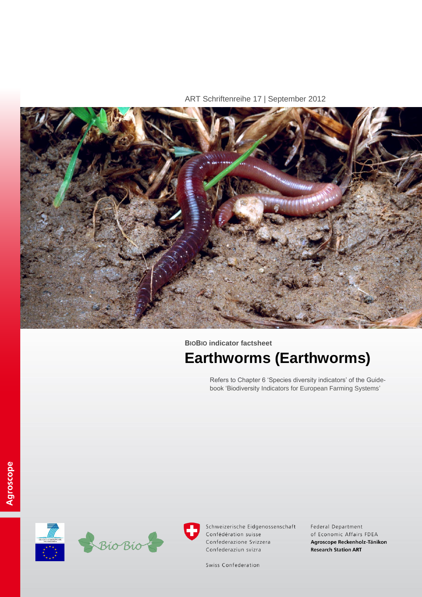ART Schriftenreihe 17 | September 2012



**BIOBIO indicator factsheet**

# **Earthworms (Earthworms)**

Refers to Chapter 6 'Species diversity indicators' of the Guidebook 'Biodiversity Indicators for European Farming Systems'





Schweizerische Eidgenossenschaft Confédération suisse Confederazione Svizzera Confederaziun svizra

Federal Department of Economic Affairs FDEA Agroscope Reckenholz-Tänikon **Research Station ART** 

Swiss Confederation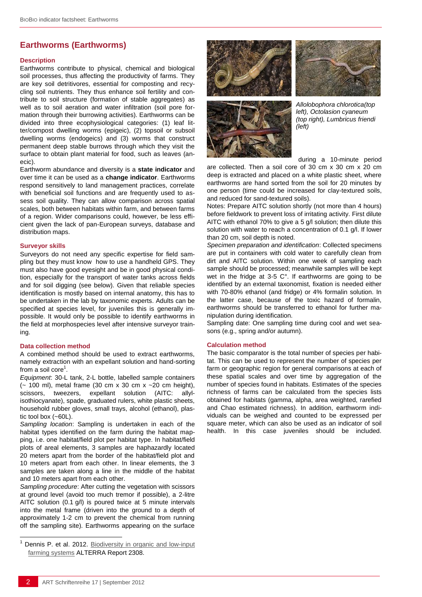# **Earthworms (Earthworms)**

## **Description**

Earthworms contribute to physical, chemical and biological soil processes, thus affecting the productivity of farms. They are key soil detritivores, essential for composting and recycling soil nutrients. They thus enhance soil fertility and contribute to soil structure (formation of stable aggregates) as well as to soil aeration and water infiltration (soil pore formation through their burrowing activities). Earthworms can be divided into three ecophysiological categories: (1) leaf litter/compost dwelling worms (epigeic), (2) topsoil or subsoil dwelling worms (endogeics) and (3) worms that construct permanent deep stable burrows through which they visit the surface to obtain plant material for food, such as leaves (anecic).

Earthworm abundance and diversity is a **state indicator** and over time it can be used as a **change indicator**. Earthworms respond sensitively to land management practices, correlate with beneficial soil functions and are frequently used to assess soil quality. They can allow comparison across spatial scales, both between habitats within farm, and between farms of a region. Wider comparisons could, however, be less efficient given the lack of pan-European surveys, database and distribution maps.

## **Surveyor skills**

Surveyors do not need any specific expertise for field sampling but they must know how to use a handheld GPS. They must also have good eyesight and be in good physical condition, especially for the transport of water tanks across fields and for soil digging (see below). Given that reliable species identification is mostly based on internal anatomy, this has to be undertaken in the lab by taxonomic experts. Adults can be specified at species level, for juveniles this is generally impossible. It would only be possible to identify earthworms in the field at morphospecies level after intensive surveyor training.

## **Data collection method**

l

A combined method should be used to extract earthworms, namely extraction with an expellant solution and hand-sorting from a soil core<sup>1</sup>.

*Equipment*: 30-L tank, 2-L bottle, labelled sample containers  $\sim$  100 ml), metal frame (30 cm x 30 cm x  $\sim$  20 cm height), scissors, tweezers, expellant solution (AITC: allylisothiocyanate), spade, graduated rulers, white plastic sheets, household rubber gloves, small trays, alcohol (ethanol), plastic tool box (~60L).

*Sampling location*: Sampling is undertaken in each of the habitat types identified on the farm during the habitat mapping, i.e. one habitat/field plot per habitat type. In habitat/field plots of areal elements, 3 samples are haphazardly located 20 meters apart from the border of the habitat/field plot and 10 meters apart from each other. In linear elements, the 3 samples are taken along a line in the middle of the habitat and 10 meters apart from each other.

*Sampling procedure*: After cutting the vegetation with scissors at ground level (avoid too much tremor if possible), a 2-litre AITC solution (0.1 g/l) is poured twice at 5 minute intervals into the metal frame (driven into the ground to a depth of approximately 1-2 cm to prevent the chemical from running off the sampling site). Earthworms appearing on the surface







*Allolobophora chlorotica(top left), Octolasion cyaneum (top right), Lumbricus friendi (left)*

during a 10-minute period

are collected. Then a soil core of 30 cm x 30 cm x 20 cm deep is extracted and placed on a white plastic sheet, where earthworms are hand sorted from the soil for 20 minutes by one person (time could be increased for clay-textured soils, and reduced for sand-textured soils).

Notes: Prepare AITC solution shortly (not more than 4 hours) before fieldwork to prevent loss of irritating activity. First dilute AITC with ethanol 70% to give a 5 g/l solution; then dilute this solution with water to reach a concentration of 0.1 g/l. If lower than 20 cm, soil depth is noted.

*Specimen preparation and identification*: Collected specimens are put in containers with cold water to carefully clean from dirt and AITC solution. Within one week of sampling each sample should be processed; meanwhile samples will be kept wet in the fridge at 3-5 C°. If earthworms are going to be identified by an external taxonomist, fixation is needed either with 70-80% ethanol (and fridge) or 4% formalin solution. In the latter case, because of the toxic hazard of formalin, earthworms should be transferred to ethanol for further manipulation during identification.

Sampling date: One sampling time during cool and wet seasons (e.g., spring and/or autumn).

## **Calculation method**

The basic comparator is the total number of species per habitat. This can be used to represent the number of species per farm or geographic region for general comparisons at each of these spatial scales and over time by aggregation of the number of species found in habitats. Estimates of the species richness of farms can be calculated from the species lists obtained for habitats (gamma, alpha, area weighted, rarefied and Chao estimated richness). In addition, earthworm individuals can be weighed and counted to be expressed per square meter, which can also be used as an indicator of soil health. In this case juveniles should be included.

Dennis P. et al. 2012. Biodiversity in organic and low-input [farming systems](http://www.biobio-indicator.org/deliverables.php) ALTERRA Report 2308.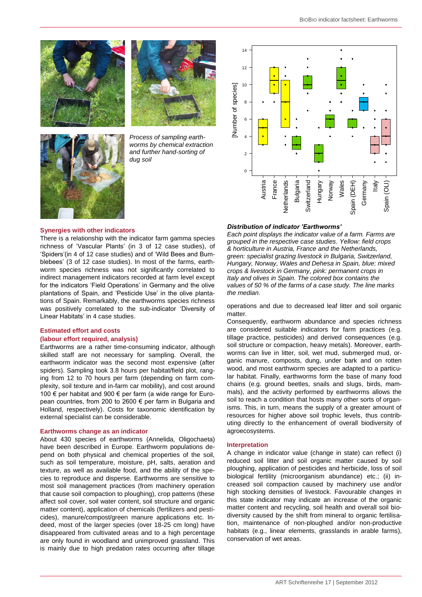





*worms by chemical extraction and further hand-sorting of dug soil*



There is a relationship with the indicator farm gamma species richness of 'Vascular Plants' (in 3 of 12 case studies), of 'Spiders'(in 4 of 12 case studies) and of 'Wild Bees and Bumblebees' (3 of 12 case studies). In most of the farms, earthworm species richness was not significantly correlated to indirect management indicators recorded at farm level except for the indicators 'Field Operations' in Germany and the olive plantations of Spain, and 'Pesticide Use' in the olive plantations of Spain. Remarkably, the earthworms species richness was positively correlated to the sub-indicator 'Diversity of Linear Habitats' in 4 case studies.

## **Estimated effort and costs**

### **(labour effort required, analysis)**

Earthworms are a rather time-consuming indicator, although skilled staff are not necessary for sampling. Overall, the earthworm indicator was the second most expensive (after spiders). Sampling took 3.8 hours per habitat/field plot, ranging from 12 to 70 hours per farm (depending on farm complexity, soil texture and in-farm car mobility), and cost around 100 € per habitat and 900 € per farm (a wide range for European countries, from 200 to 2600 € per farm in Bulgaria and Holland, respectively). Costs for taxonomic identification by external specialist can be considerable.

#### **Earthworms change as an indicator**

About 430 species of earthworms (Annelida, Oligochaeta) have been described in Europe. Earthworm populations depend on both physical and chemical properties of the soil, such as soil temperature, moisture, pH, salts, aeration and texture, as well as available food, and the ability of the species to reproduce and disperse. Earthworms are sensitive to most soil management practices (from machinery operation that cause soil compaction to ploughing), crop patterns (these affect soil cover, soil water content, soil structure and organic matter content), application of chemicals (fertilizers and pesticides), manure/compost/green manure applications etc. Indeed, most of the larger species (over 18-25 cm long) have disappeared from cultivated areas and to a high percentage are only found in woodland and unimproved grassland. This is mainly due to high predation rates occurring after tillage



#### *Distribution of indicator 'Earthworms'*

*Each point displays the indicator value of a farm. Farms are grouped in the respective case studies. Yellow: field crops & horticulture in Austria, France and the Netherlands, green: specialist grazing livestock in Bulgaria, Switzerland, Hungary, Norway, Wales and Dehesa in Spain, blue: mixed crops & livestock in Germany, pink: permanent crops in Italy and olives in Spain. The colored box contains the values of 50 % of the farms of a case study. The line marks the median.* Austria France Austria France Austria France Austria France Austria France Austria Spain (Dustribution of indicator 'Earthworms'<br>
Example 1 and 1 austria Spain (Dustribution of indicator 'Earthworms'<br>
Exampl

operations and due to decreased leaf litter and soil organic matter.

Consequently, earthworm abundance and species richness are considered suitable indicators for farm practices (e.g. tillage practice, pesticides) and derived consequences (e.g. soil structure or compaction, heavy metals). Moreover, earthworms can live in litter, soil, wet mud, submerged mud, organic manure, composts, dung, under bark and on rotten wood, and most earthworm species are adapted to a particular habitat. Finally, earthworms form the base of many food chains (e.g. ground beetles, snails and slugs, birds, mammals), and the activity performed by earthworms allows the soil to reach a condition that hosts many other sorts of organisms. This, in turn, means the supply of a greater amount of resources for higher above soil trophic levels, thus contributing directly to the enhancement of overall biodiversity of agroecosystems.

#### **Interpretation**

A change in indicator value (change in state) can reflect (i) reduced soil litter and soil organic matter caused by soil ploughing, application of pesticides and herbicide, loss of soil biological fertility (microorganism abundance) etc.; (ii) increased soil compaction caused by machinery use and/or high stocking densities of livestock. Favourable changes in this state indicator may indicate an increase of the organic matter content and recycling, soil health and overall soil biodiversity caused by the shift from mineral to organic fertilisation, maintenance of non-ploughed and/or non-productive habitats (e.g., linear elements, grasslands in arable farms), conservation of wet areas.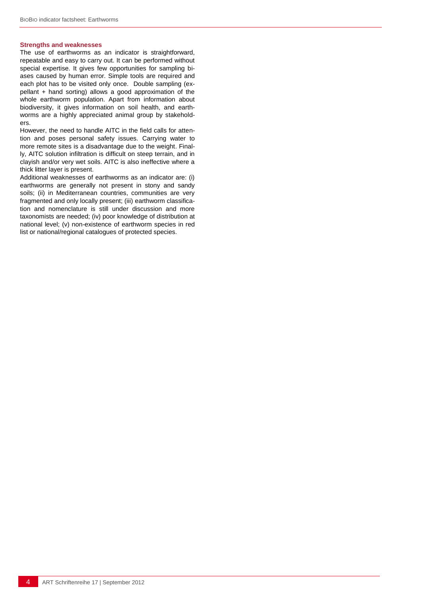## **Strengths and weaknesses**

The use of earthworms as an indicator is straightforward, repeatable and easy to carry out. It can be performed without special expertise. It gives few opportunities for sampling biases caused by human error. Simple tools are required and each plot has to be visited only once. Double sampling (expellant + hand sorting) allows a good approximation of the whole earthworm population. Apart from information about biodiversity, it gives information on soil health, and earthworms are a highly appreciated animal group by stakeholders.

However, the need to handle AITC in the field calls for attention and poses personal safety issues. Carrying water to more remote sites is a disadvantage due to the weight. Finally, AITC solution infiltration is difficult on steep terrain, and in clayish and/or very wet soils. AITC is also ineffective where a thick litter layer is present.

Additional weaknesses of earthworms as an indicator are: (i) earthworms are generally not present in stony and sandy soils; (ii) in Mediterranean countries, communities are very fragmented and only locally present; (iii) earthworm classification and nomenclature is still under discussion and more taxonomists are needed; (iv) poor knowledge of distribution at national level; (v) non-existence of earthworm species in red list or national/regional catalogues of protected species.